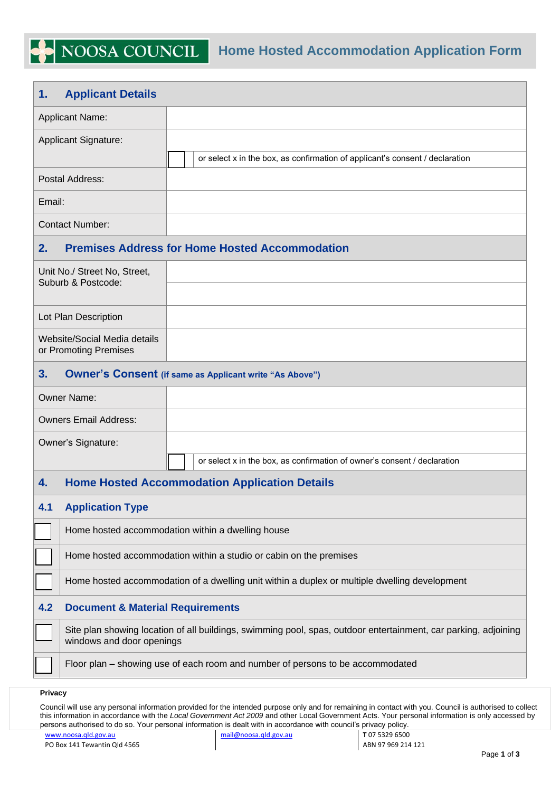## **1. Applicant Details**

| <b>Applicant Name:</b>                                |                                                                                                                                              |  |  |  |  |  |  |
|-------------------------------------------------------|----------------------------------------------------------------------------------------------------------------------------------------------|--|--|--|--|--|--|
| <b>Applicant Signature:</b>                           |                                                                                                                                              |  |  |  |  |  |  |
|                                                       | or select x in the box, as confirmation of applicant's consent / declaration                                                                 |  |  |  |  |  |  |
| Postal Address:                                       |                                                                                                                                              |  |  |  |  |  |  |
| Email:                                                |                                                                                                                                              |  |  |  |  |  |  |
| <b>Contact Number:</b>                                |                                                                                                                                              |  |  |  |  |  |  |
| 2.                                                    | <b>Premises Address for Home Hosted Accommodation</b>                                                                                        |  |  |  |  |  |  |
| Unit No./ Street No, Street,<br>Suburb & Postcode:    |                                                                                                                                              |  |  |  |  |  |  |
| Lot Plan Description                                  |                                                                                                                                              |  |  |  |  |  |  |
| Website/Social Media details<br>or Promoting Premises |                                                                                                                                              |  |  |  |  |  |  |
| 3.                                                    | <b>Owner's Consent (if same as Applicant write "As Above")</b>                                                                               |  |  |  |  |  |  |
| <b>Owner Name:</b>                                    |                                                                                                                                              |  |  |  |  |  |  |
| <b>Owners Email Address:</b>                          |                                                                                                                                              |  |  |  |  |  |  |
| Owner's Signature:                                    |                                                                                                                                              |  |  |  |  |  |  |
|                                                       | or select x in the box, as confirmation of owner's consent / declaration                                                                     |  |  |  |  |  |  |
| 4.                                                    | <b>Home Hosted Accommodation Application Details</b>                                                                                         |  |  |  |  |  |  |
| <b>Application Type</b><br>4.1                        |                                                                                                                                              |  |  |  |  |  |  |
|                                                       | Home hosted accommodation within a dwelling house                                                                                            |  |  |  |  |  |  |
|                                                       | Home hosted accommodation within a studio or cabin on the premises                                                                           |  |  |  |  |  |  |
|                                                       | Home hosted accommodation of a dwelling unit within a duplex or multiple dwelling development                                                |  |  |  |  |  |  |
| 4.2                                                   | <b>Document &amp; Material Requirements</b>                                                                                                  |  |  |  |  |  |  |
|                                                       | Site plan showing location of all buildings, swimming pool, spas, outdoor entertainment, car parking, adjoining<br>windows and door openings |  |  |  |  |  |  |
|                                                       | Floor plan – showing use of each room and number of persons to be accommodated                                                               |  |  |  |  |  |  |
| Privacy                                               |                                                                                                                                              |  |  |  |  |  |  |

Council will use any personal information provided for the intended purpose only and for remaining in contact with you. Council is authorised to collect this information in accordance with the *Local Government Act 2009* and other Local Government Acts. Your personal information is only accessed by persons authorised to do so. Your personal information is dealt with in accordance with council's privacy policy.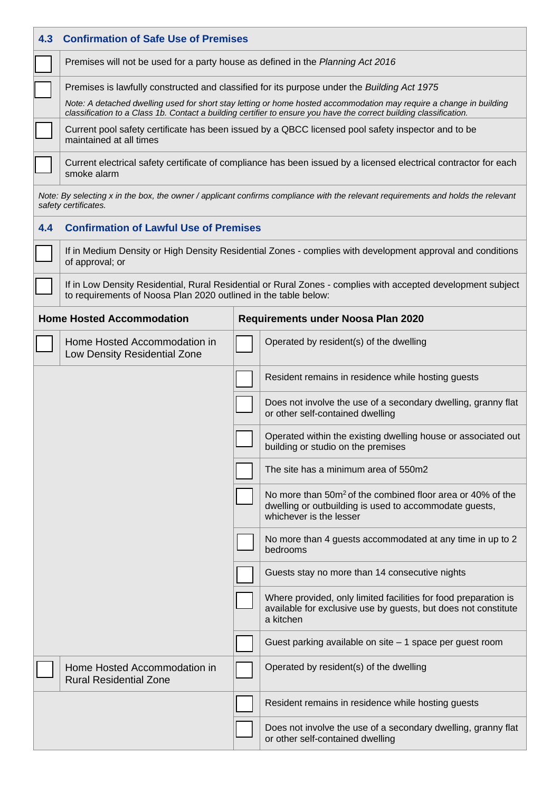| 4.3 | <b>Confirmation of Safe Use of Premises</b>                                                                                                                                                                                               |  |                                                                                                                                                             |  |  |  |  |  |
|-----|-------------------------------------------------------------------------------------------------------------------------------------------------------------------------------------------------------------------------------------------|--|-------------------------------------------------------------------------------------------------------------------------------------------------------------|--|--|--|--|--|
|     | Premises will not be used for a party house as defined in the Planning Act 2016                                                                                                                                                           |  |                                                                                                                                                             |  |  |  |  |  |
|     | Premises is lawfully constructed and classified for its purpose under the Building Act 1975                                                                                                                                               |  |                                                                                                                                                             |  |  |  |  |  |
|     | Note: A detached dwelling used for short stay letting or home hosted accommodation may require a change in building<br>classification to a Class 1b. Contact a building certifier to ensure you have the correct building classification. |  |                                                                                                                                                             |  |  |  |  |  |
|     | Current pool safety certificate has been issued by a QBCC licensed pool safety inspector and to be<br>maintained at all times                                                                                                             |  |                                                                                                                                                             |  |  |  |  |  |
|     | Current electrical safety certificate of compliance has been issued by a licensed electrical contractor for each<br>smoke alarm                                                                                                           |  |                                                                                                                                                             |  |  |  |  |  |
|     | safety certificates.                                                                                                                                                                                                                      |  | Note: By selecting x in the box, the owner / applicant confirms compliance with the relevant requirements and holds the relevant                            |  |  |  |  |  |
| 4.4 | <b>Confirmation of Lawful Use of Premises</b>                                                                                                                                                                                             |  |                                                                                                                                                             |  |  |  |  |  |
|     | If in Medium Density or High Density Residential Zones - complies with development approval and conditions<br>of approval; or                                                                                                             |  |                                                                                                                                                             |  |  |  |  |  |
|     | If in Low Density Residential, Rural Residential or Rural Zones - complies with accepted development subject<br>to requirements of Noosa Plan 2020 outlined in the table below:                                                           |  |                                                                                                                                                             |  |  |  |  |  |
|     | <b>Home Hosted Accommodation</b>                                                                                                                                                                                                          |  | Requirements under Noosa Plan 2020                                                                                                                          |  |  |  |  |  |
|     | Home Hosted Accommodation in<br>Low Density Residential Zone                                                                                                                                                                              |  | Operated by resident(s) of the dwelling                                                                                                                     |  |  |  |  |  |
|     |                                                                                                                                                                                                                                           |  | Resident remains in residence while hosting guests                                                                                                          |  |  |  |  |  |
|     |                                                                                                                                                                                                                                           |  | Does not involve the use of a secondary dwelling, granny flat<br>or other self-contained dwelling                                                           |  |  |  |  |  |
|     |                                                                                                                                                                                                                                           |  | Operated within the existing dwelling house or associated out<br>building or studio on the premises                                                         |  |  |  |  |  |
|     |                                                                                                                                                                                                                                           |  | The site has a minimum area of 550m2                                                                                                                        |  |  |  |  |  |
|     |                                                                                                                                                                                                                                           |  | No more than 50m <sup>2</sup> of the combined floor area or 40% of the<br>dwelling or outbuilding is used to accommodate guests,<br>whichever is the lesser |  |  |  |  |  |
|     |                                                                                                                                                                                                                                           |  | No more than 4 guests accommodated at any time in up to 2<br>bedrooms                                                                                       |  |  |  |  |  |
|     |                                                                                                                                                                                                                                           |  | Guests stay no more than 14 consecutive nights                                                                                                              |  |  |  |  |  |
|     |                                                                                                                                                                                                                                           |  | Where provided, only limited facilities for food preparation is<br>available for exclusive use by guests, but does not constitute<br>a kitchen              |  |  |  |  |  |
|     |                                                                                                                                                                                                                                           |  | Guest parking available on site - 1 space per guest room                                                                                                    |  |  |  |  |  |
|     | Home Hosted Accommodation in<br><b>Rural Residential Zone</b>                                                                                                                                                                             |  | Operated by resident(s) of the dwelling                                                                                                                     |  |  |  |  |  |
|     |                                                                                                                                                                                                                                           |  | Resident remains in residence while hosting guests                                                                                                          |  |  |  |  |  |
|     |                                                                                                                                                                                                                                           |  | Does not involve the use of a secondary dwelling, granny flat<br>or other self-contained dwelling                                                           |  |  |  |  |  |